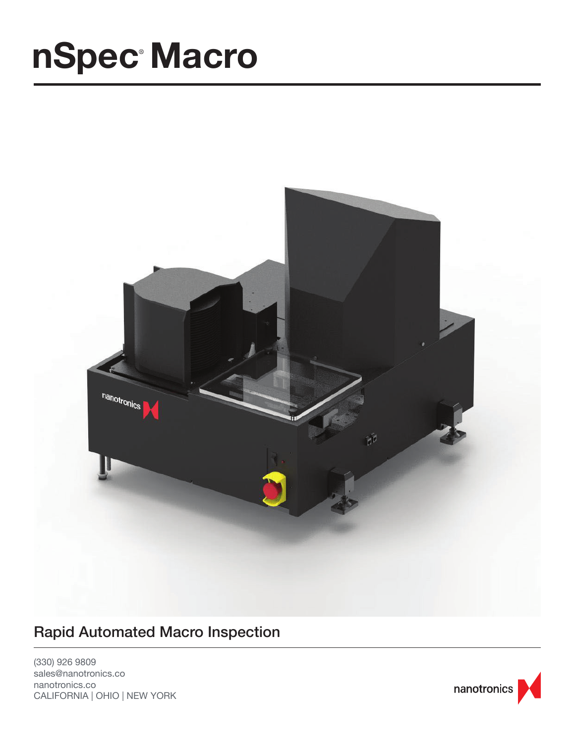## **nSpec Macro**



### Rapid Automated Macro Inspection

(330) 926 9809 sales@nanotronics.co nanotronics.co CALIFORNIA | OHIO | NEW YORK